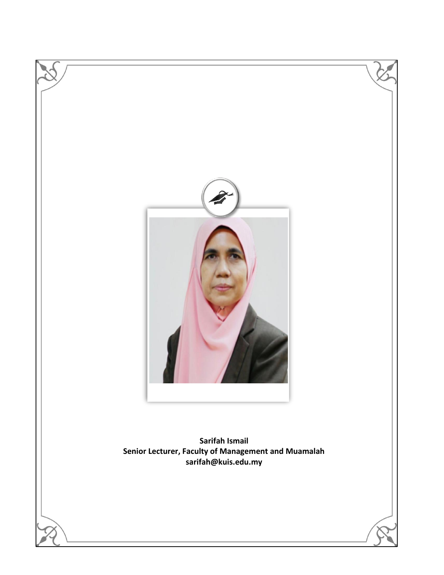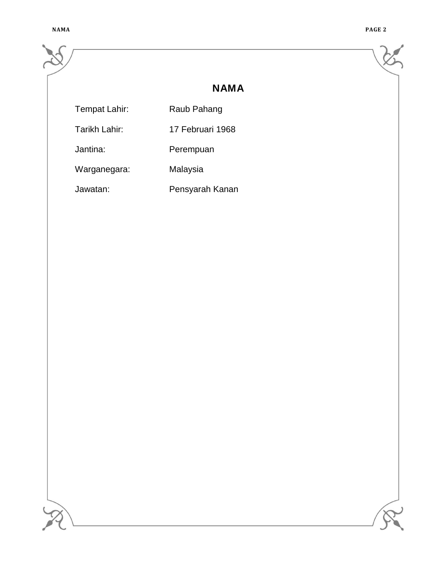|               | <b>NAMA</b>      |  |
|---------------|------------------|--|
| Tempat Lahir: | Raub Pahang      |  |
| Tarikh Lahir: | 17 Februari 1968 |  |
| Jantina:      | Perempuan        |  |
| Warganegara:  | Malaysia         |  |
| Jawatan:      | Pensyarah Kanan  |  |
|               |                  |  |
|               |                  |  |
|               |                  |  |
|               |                  |  |
|               |                  |  |
|               |                  |  |
|               |                  |  |
|               |                  |  |
|               |                  |  |
|               |                  |  |
|               |                  |  |
|               |                  |  |
|               |                  |  |
|               |                  |  |
|               |                  |  |
|               |                  |  |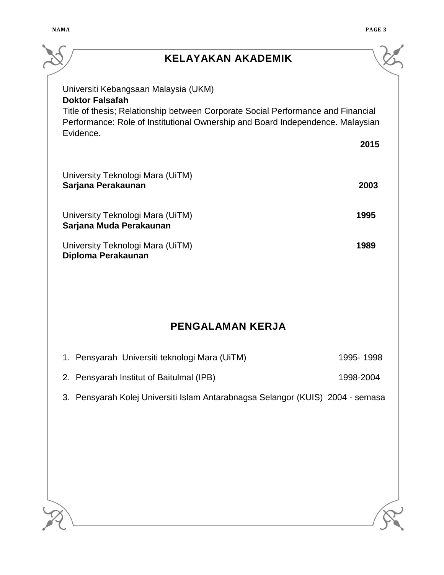| <b>KELAYAKAN AKADEMIK</b>                                                                                                                                          |           |
|--------------------------------------------------------------------------------------------------------------------------------------------------------------------|-----------|
| Universiti Kebangsaan Malaysia (UKM)<br><b>Doktor Falsafah</b>                                                                                                     |           |
| Title of thesis; Relationship between Corporate Social Performance and Financial<br>Performance: Role of Institutional Ownership and Board Independence. Malaysian |           |
| Evidence.                                                                                                                                                          | 2015      |
| University Teknologi Mara (UiTM)<br>Sarjana Perakaunan                                                                                                             | 2003      |
| University Teknologi Mara (UiTM)<br>Sarjana Muda Perakaunan                                                                                                        | 1995      |
| University Teknologi Mara (UiTM)<br>Diploma Perakaunan                                                                                                             | 1989      |
|                                                                                                                                                                    |           |
| <b>PENGALAMAN KERJA</b>                                                                                                                                            |           |
| 1. Pensyarah Universiti teknologi Mara (UiTM)                                                                                                                      | 1995-1998 |
| 2. Pensyarah Institut of Baitulmal (IPB)                                                                                                                           | 1998-2004 |
| 3. Pensyarah Kolej Universiti Islam Antarabnagsa Selangor (KUIS) 2004 - semasa                                                                                     |           |
|                                                                                                                                                                    |           |
|                                                                                                                                                                    |           |
|                                                                                                                                                                    |           |
|                                                                                                                                                                    |           |
|                                                                                                                                                                    |           |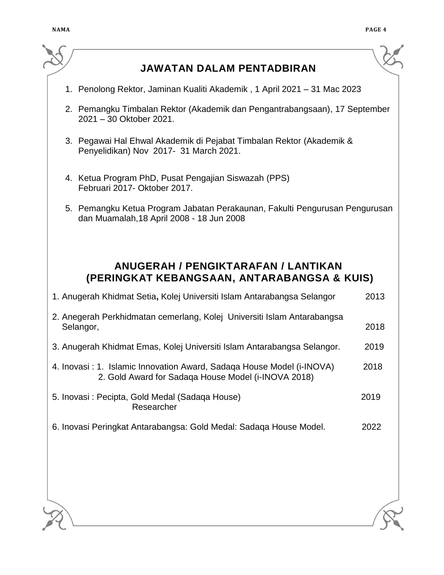$\overline{\phantom{0}}$ 

| <b>JAWATAN DALAM PENTADBIRAN</b>                                                                                             |      |
|------------------------------------------------------------------------------------------------------------------------------|------|
| 1. Penolong Rektor, Jaminan Kualiti Akademik, 1 April 2021 – 31 Mac 2023                                                     |      |
| 2. Pemangku Timbalan Rektor (Akademik dan Pengantrabangsaan), 17 September<br>2021 - 30 Oktober 2021.                        |      |
| 3. Pegawai Hal Ehwal Akademik di Pejabat Timbalan Rektor (Akademik &<br>Penyelidikan) Nov 2017- 31 March 2021.               |      |
| 4. Ketua Program PhD, Pusat Pengajian Siswazah (PPS)<br>Februari 2017- Oktober 2017.                                         |      |
| 5. Pemangku Ketua Program Jabatan Perakaunan, Fakulti Pengurusan Pengurusan<br>dan Muamalah, 18 April 2008 - 18 Jun 2008     |      |
| <b>ANUGERAH / PENGIKTARAFAN / LANTIKAN</b><br>(PERINGKAT KEBANGSAAN, ANTARABANGSA & KUIS)                                    |      |
| 1. Anugerah Khidmat Setia, Kolej Universiti Islam Antarabangsa Selangor                                                      | 2013 |
| 2. Anegerah Perkhidmatan cemerlang, Kolej Universiti Islam Antarabangsa<br>Selangor,                                         | 2018 |
| 3. Anugerah Khidmat Emas, Kolej Universiti Islam Antarabangsa Selangor.                                                      | 2019 |
| 4. Inovasi: 1. Islamic Innovation Award, Sadaga House Model (i-INOVA)<br>2. Gold Award for Sadaga House Model (i-INOVA 2018) | 2018 |
| 5. Inovasi: Pecipta, Gold Medal (Sadaqa House)<br>Researcher                                                                 | 2019 |
| 6. Inovasi Peringkat Antarabangsa: Gold Medal: Sadaqa House Model.                                                           | 2022 |
|                                                                                                                              |      |
|                                                                                                                              |      |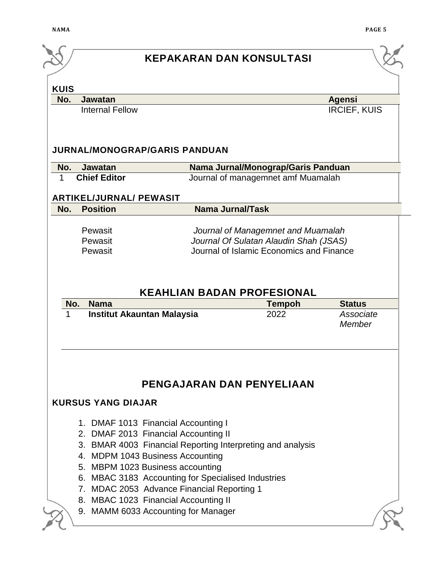| <b>Agensi</b><br><b>IRCIEF, KUIS</b><br>Nama Jurnal/Monograp/Garis Panduan<br>Journal of managemnet amf Muamalah |
|------------------------------------------------------------------------------------------------------------------|
|                                                                                                                  |
|                                                                                                                  |
|                                                                                                                  |
|                                                                                                                  |
|                                                                                                                  |
|                                                                                                                  |
|                                                                                                                  |
|                                                                                                                  |
| Journal of Managemnet and Muamalah                                                                               |
| Journal Of Sulatan Alaudin Shah (JSAS)                                                                           |
| Journal of Islamic Economics and Finance                                                                         |
| Associate<br>Member                                                                                              |
|                                                                                                                  |
|                                                                                                                  |
|                                                                                                                  |
|                                                                                                                  |
|                                                                                                                  |
|                                                                                                                  |
|                                                                                                                  |
|                                                                                                                  |
|                                                                                                                  |
|                                                                                                                  |
|                                                                                                                  |
| <b>Status</b>                                                                                                    |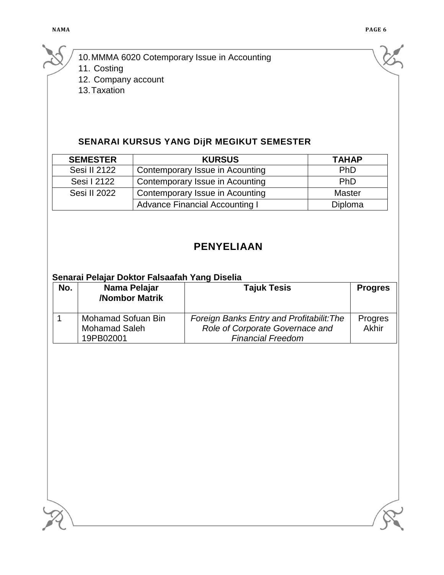10.MMMA 6020 Cotemporary Issue in Accounting

11. Costing

12. Company account

13.Taxation

# **SENARAI KURSUS YANG DijR MEGIKUT SEMESTER**

| <b>SEMESTER</b> | <b>KURSUS</b>                         | <b>TAHAP</b>  |
|-----------------|---------------------------------------|---------------|
| Sesi II 2122    | Contemporary Issue in Acounting       | PhD           |
| Sesi I 2122     | Contemporary Issue in Acounting       | <b>PhD</b>    |
| Sesi II 2022    | Contemporary Issue in Acounting       | <b>Master</b> |
|                 | <b>Advance Financial Accounting I</b> | Diploma       |

# **PENYELIAAN**

#### **Senarai Pelajar Doktor Falsaafah Yang Diselia**

| No. | Nama Pelajar<br>/Nombor Matrik | <b>Tajuk Tesis</b>                        | <b>Progres</b> |
|-----|--------------------------------|-------------------------------------------|----------------|
|     | <b>Mohamad Sofuan Bin</b>      | Foreign Banks Entry and Profitabilit: The | Progres        |
|     | <b>Mohamad Saleh</b>           | Role of Corporate Governace and           | Akhir          |
|     | 19PB02001                      | <b>Financial Freedom</b>                  |                |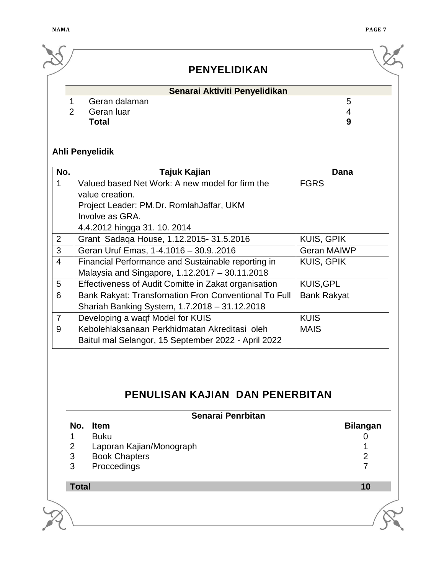|  |               |               | <b>PENYELIDIKAN</b>           |   |  |
|--|---------------|---------------|-------------------------------|---|--|
|  |               |               | Senarai Aktiviti Penyelidikan |   |  |
|  |               | Geran dalaman |                               | G |  |
|  | $\mathcal{P}$ | Geran luar    |                               |   |  |
|  |               | <b>Total</b>  |                               | 9 |  |

# **Ahli Penyelidik**

| No.            | Tajuk Kajian                                          | Dana               |
|----------------|-------------------------------------------------------|--------------------|
| 1              | Valued based Net Work: A new model for firm the       | <b>FGRS</b>        |
|                | value creation.                                       |                    |
|                | Project Leader: PM.Dr. RomlahJaffar, UKM              |                    |
|                | Involve as GRA.                                       |                    |
|                | 4.4.2012 hingga 31. 10. 2014                          |                    |
| $\overline{2}$ | Grant Sadaqa House, 1.12.2015-31.5.2016               | <b>KUIS, GPIK</b>  |
| 3              | Geran Uruf Emas, 1-4.1016 - 30.92016                  | <b>Geran MAIWP</b> |
| 4              | Financial Performance and Sustainable reporting in    | <b>KUIS, GPIK</b>  |
|                | Malaysia and Singapore, 1.12.2017 - 30.11.2018        |                    |
| 5              | Effectiveness of Audit Comitte in Zakat organisation  | <b>KUIS, GPL</b>   |
| 6              | Bank Rakyat: Transfornation Fron Conventional To Full | <b>Bank Rakyat</b> |
|                | Shariah Banking System, 1.7.2018 - 31.12.2018         |                    |
| $\overline{7}$ | Developing a waqf Model for KUIS                      | <b>KUIS</b>        |
| 9              | Kebolehlaksanaan Perkhidmatan Akreditasi oleh         | <b>MAIS</b>        |
|                | Baitul mal Selangor, 15 September 2022 - April 2022   |                    |

# **PENULISAN KAJIAN DAN PENERBITAN**

|                | Senarai Penrbitan        |                 |
|----------------|--------------------------|-----------------|
| No.            | <b>Item</b>              | <b>Bilangan</b> |
|                | <b>Buku</b>              |                 |
| $\overline{2}$ | Laporan Kajian/Monograph |                 |
| 3              | <b>Book Chapters</b>     | າ               |
| 3              | Proccedings              | ⇁               |
| <b>Total</b>   |                          | 10              |
|                |                          |                 |
|                |                          |                 |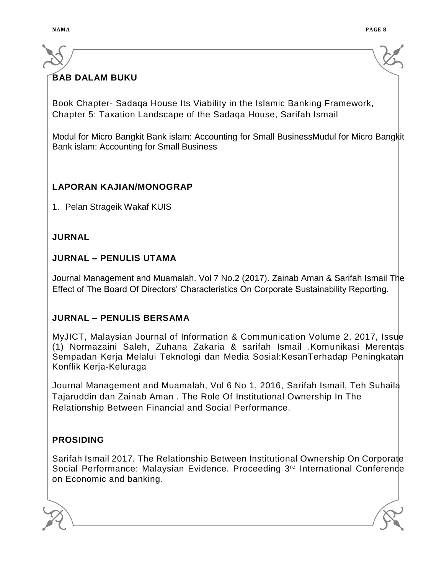# **BAB DALAM BUKU**

Book Chapter- Sadaqa House Its Viability in the Islamic Banking Framework, Chapter 5: Taxation Landscape of the Sadaqa House, Sarifah Ismail

Modul for Micro Bangkit Bank islam: Accounting for Small BusinessMudul for Micro Bangkit Bank islam: Accounting for Small Business

#### **LAPORAN KAJIAN/MONOGRAP**

1. Pelan Strageik Wakaf KUIS

#### **JURNAL**

#### **JURNAL – PENULIS UTAMA**

Journal Management and Muamalah. Vol 7 No.2 (2017). Zainab Aman & Sarifah Ismail The Effect of The Board Of Directors' Characteristics On Corporate Sustainability Reporting.

#### **JURNAL – PENULIS BERSAMA**

MyJICT, Malaysian Journal of Information & Communication Volume 2, 2017, Issue (1) Normazaini Saleh, Zuhana Zakaria & sarifah Ismail .Komunikasi Merentas Sempadan Kerja Melalui Teknologi dan Media Sosial:KesanTerhadap Peningkatan Konflik Kerja-Keluraga

Journal Management and Muamalah, Vol 6 No 1, 2016, Sarifah Ismail, Teh Suhaila Tajaruddin dan Zainab Aman . The Role Of Institutional Ownership In The Relationship Between Financial and Social Performance.

### **PROSIDING**

Sarifah Ismail 2017. The Relationship Between Institutional Ownership On Corporate Social Performance: Malaysian Evidence. Proceeding 3<sup>rd</sup> International Conference on Economic and banking.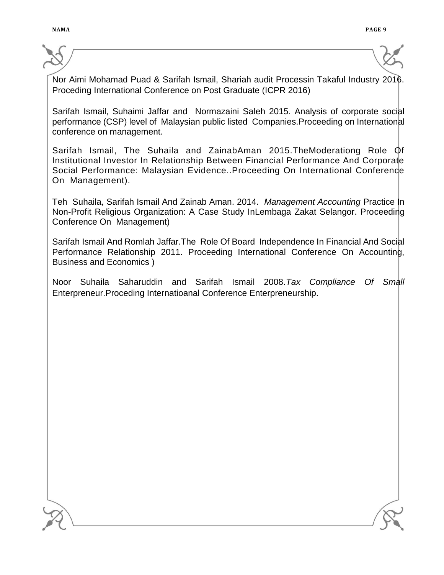Nor Aimi Mohamad Puad & Sarifah Ismail, Shariah audit Processin Takaful Industry 2016. Proceding International Conference on Post Graduate (ICPR 2016)

Sarifah Ismail, Suhaimi Jaffar and Normazaini Saleh 2015. Analysis of corporate social performance (CSP) level of Malaysian public listed Companies.Proceeding on International conference on management.

Sarifah Ismail, The Suhaila and ZainabAman 2015.TheModerationg Role Of Institutional Investor In Relationship Between Financial Performance And Corporate Social Performance: Malaysian Evidence..Proceeding On International Conference On Management).

Teh Suhaila, Sarifah Ismail And Zainab Aman. 2014. *Management Accounting* Practice In Non-Profit Religious Organization: A Case Study InLembaga Zakat Selangor. Proceeding Conference On Management)

Sarifah Ismail And Romlah Jaffar.The Role Of Board Independence In Financial And Social Performance Relationship 2011. Proceeding International Conference On Accounting, Business and Economics )

Noor Suhaila Saharuddin and Sarifah Ismail 2008.*Tax Compliance Of Small*  Enterpreneur.Proceding Internatioanal Conference Enterpreneurship.